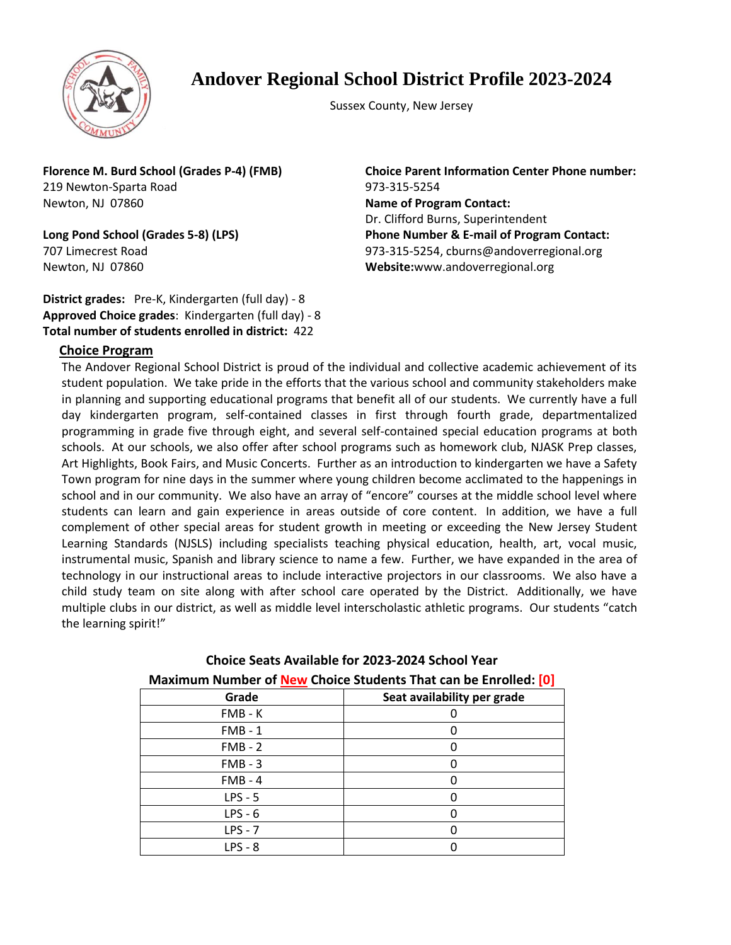

### **Andover Regional School District Profile 2023-2024**

Sussex County, New Jersey

**Florence M. Burd School (Grades P-4) (FMB)** 219 Newton-Sparta Road Newton, NJ 07860

**Long Pond School (Grades 5-8) (LPS)** 707 Limecrest Road Newton, NJ 07860

**District grades:** Pre-K, Kindergarten (full day) - 8 **Approved Choice grades**: Kindergarten (full day) - 8 **Total number of students enrolled in district:** 422

**Choice Parent Information Center Phone number:** 973-315-5254 **Name of Program Contact:** Dr. Clifford Burns, Superintendent **Phone Number & E-mail of Program Contact:** 973-315-5254, cburns@andoverregional.org **Website:**www.andoverregional.org

### **Choice Program**

The Andover Regional School District is proud of the individual and collective academic achievement of its student population. We take pride in the efforts that the various school and community stakeholders make in planning and supporting educational programs that benefit all of our students. We currently have a full day kindergarten program, self-contained classes in first through fourth grade, departmentalized programming in grade five through eight, and several self-contained special education programs at both schools. At our schools, we also offer after school programs such as homework club, NJASK Prep classes, Art Highlights, Book Fairs, and Music Concerts. Further as an introduction to kindergarten we have a Safety Town program for nine days in the summer where young children become acclimated to the happenings in school and in our community. We also have an array of "encore" courses at the middle school level where students can learn and gain experience in areas outside of core content. In addition, we have a full complement of other special areas for student growth in meeting or exceeding the New Jersey Student Learning Standards (NJSLS) including specialists teaching physical education, health, art, vocal music, instrumental music, Spanish and library science to name a few. Further, we have expanded in the area of technology in our instructional areas to include interactive projectors in our classrooms. We also have a child study team on site along with after school care operated by the District. Additionally, we have multiple clubs in our district, as well as middle level interscholastic athletic programs. Our students "catch the learning spirit!"

| Maximum Number of New Choice Students That can be Enrolled: [0] |                             |
|-----------------------------------------------------------------|-----------------------------|
| Grade                                                           | Seat availability per grade |
| FMB - K                                                         |                             |
| $FMB - 1$                                                       |                             |
| $FMB - 2$                                                       |                             |
| $FMB - 3$                                                       |                             |
| $FMB - 4$                                                       |                             |
| $LPS - 5$                                                       |                             |
| $LPS - 6$                                                       |                             |
| $LPS - 7$                                                       |                             |
| $LPS - 8$                                                       |                             |

# **Choice Seats Available for 2023-2024 School Year**